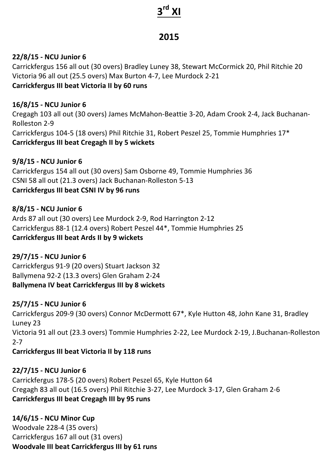# **3rd XI**

# **2015**

# **22/8/15 - NCU Junior 6**

Carrickfergus 156 all out (30 overs) Bradley Luney 38, Stewart McCormick 20, Phil Ritchie 20 Victoria 96 all out (25.5 overs) Max Burton 4-7, Lee Murdock 2-21 **Carrickfergus III beat Victoria II by 60 runs** 

#### **16/8/15 - NCU Junior 6**

Cregagh 103 all out (30 overs) James McMahon-Beattie 3-20, Adam Crook 2-4, Jack Buchanan-Rolleston 2-9 Carrickfergus 104-5 (18 overs) Phil Ritchie 31, Robert Peszel 25, Tommie Humphries 17\* **Carrickfergus III beat Cregagh II by 5 wickets**

#### **9/8/15 - NCU Junior 6**

Carrickfergus 154 all out (30 overs) Sam Osborne 49, Tommie Humphries 36 CSNI 58 all out (21.3 overs) Jack Buchanan-Rolleston 5-13 **Carrickfergus III beat CSNI IV by 96 runs** 

#### **8/8/15 - NCU Junior 6**

Ards 87 all out (30 overs) Lee Murdock 2-9, Rod Harrington 2-12 Carrickfergus 88-1 (12.4 overs) Robert Peszel 44\*, Tommie Humphries 25 **Carrickfergus III beat Ards II by 9 wickets** 

#### **29/7/15 - NCU Junior 6**

Carrickfergus 91-9 (20 overs) Stuart Jackson 32 Ballymena 92-2 (13.3 overs) Glen Graham 2-24 **Ballymena IV beat Carrickfergus III by 8 wickets** 

#### **25/7/15 - NCU Junior 6**

Carrickfergus 209-9 (30 overs) Connor McDermott 67\*, Kyle Hutton 48, John Kane 31, Bradley Luney 23 Victoria 91 all out (23.3 overs) Tommie Humphries 2-22, Lee Murdock 2-19, J.Buchanan-Rolleston 2-7 **Carrickfergus III beat Victoria II by 118 runs** 

#### **22/7/15 - NCU Junior 6**

Carrickfergus 178-5 (20 overs) Robert Peszel 65, Kyle Hutton 64 Cregagh 83 all out (16.5 overs) Phil Ritchie 3-27, Lee Murdock 3-17, Glen Graham 2-6 **Carrickfergus III beat Cregagh III by 95 runs** 

#### **14/6/15 - NCU Minor Cup**

Woodvale 228-4 (35 overs) Carrickfergus 167 all out (31 overs) **Woodvale III beat Carrickfergus III by 61 runs**